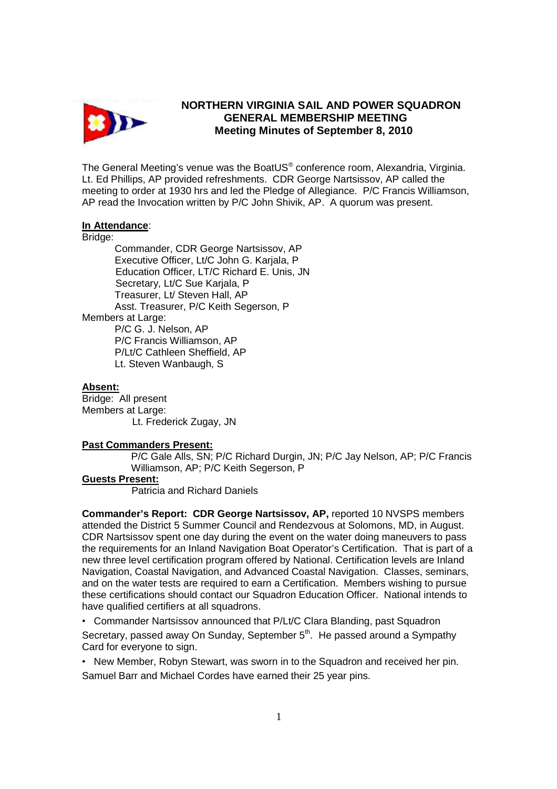

## **NORTHERN VIRGINIA SAIL AND POWER SQUADRON GENERAL MEMBERSHIP MEETING Meeting Minutes of September 8, 2010**

The General Meeting's venue was the BoatUS® conference room, Alexandria, Virginia. Lt. Ed Phillips, AP provided refreshments. CDR George Nartsissov, AP called the meeting to order at 1930 hrs and led the Pledge of Allegiance. P/C Francis Williamson, AP read the Invocation written by P/C John Shivik, AP. A quorum was present.

### **In Attendance**:

Bridge:

 Commander, CDR George Nartsissov, AP Executive Officer, Lt/C John G. Karjala, P Education Officer, LT/C Richard E. Unis, JN Secretary, Lt/C Sue Karjala, P Treasurer, Lt/ Steven Hall, AP Asst. Treasurer, P/C Keith Segerson, P Members at Large: P/C G. J. Nelson, AP P/C Francis Williamson, AP P/Lt/C Cathleen Sheffield, AP Lt. Steven Wanbaugh, S

#### **Absent:**

Bridge:All present Members at Large: Lt. Frederick Zugay, JN

### **Past Commanders Present:**

P/C Gale Alls, SN; P/C Richard Durgin, JN; P/C Jay Nelson, AP; P/C Francis Williamson, AP; P/C Keith Segerson, P

### **Guests Present:**

Patricia and Richard Daniels

**Commander's Report: CDR George Nartsissov, AP,** reported 10 NVSPS members attended the District 5 Summer Council and Rendezvous at Solomons, MD, in August. CDR Nartsissov spent one day during the event on the water doing maneuvers to pass the requirements for an Inland Navigation Boat Operator's Certification. That is part of a new three level certification program offered by National. Certification levels are Inland Navigation, Coastal Navigation, and Advanced Coastal Navigation. Classes, seminars, and on the water tests are required to earn a Certification. Members wishing to pursue these certifications should contact our Squadron Education Officer. National intends to have qualified certifiers at all squadrons.

• Commander Nartsissov announced that P/Lt/C Clara Blanding, past Squadron Secretary, passed away On Sunday, September 5<sup>th</sup>. He passed around a Sympathy Card for everyone to sign.

• New Member, Robyn Stewart, was sworn in to the Squadron and received her pin. Samuel Barr and Michael Cordes have earned their 25 year pins.